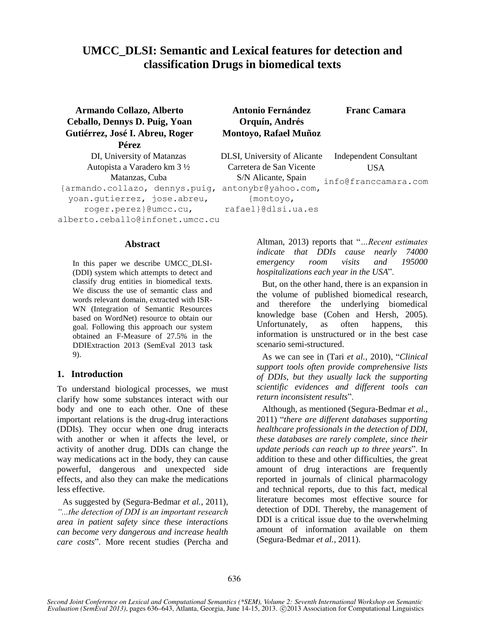# **UMCC\_DLSI: Semantic and Lexical features for detection and classification Drugs in biomedical texts**

| Armando Collazo, Alberto<br>Ceballo, Dennys D. Puig, Yoan | <b>Antonio Fernández</b><br>Orquín, Andrés | <b>Franc Camara</b>           |  |
|-----------------------------------------------------------|--------------------------------------------|-------------------------------|--|
| Gutiérrez, José I. Abreu, Roger                           | Montoyo, Rafael Muñoz                      |                               |  |
| Pérez                                                     |                                            |                               |  |
| DI, University of Matanzas                                | DLSI, University of Alicante               | <b>Independent Consultant</b> |  |
| Autopista a Varadero km 3 ½                               | Carretera de San Vicente                   | USA                           |  |
| Matanzas, Cuba                                            | S/N Alicante, Spain                        | info@franccamara.com          |  |
| {armando.collazo, dennys.puig,                            | antonybr@yahoo.com,                        |                               |  |
| yoan.gutierrez, jose.abreu,                               | {montoyo,                                  |                               |  |
| roger.perez}@umcc.cu,                                     | rafael}@dlsi.ua.es                         |                               |  |
| alberto.ceballo@infonet.umcc.cu                           |                                            |                               |  |

#### **Abstract**

In this paper we describe UMCC\_DLSI- (DDI) system which attempts to detect and classify drug entities in biomedical texts. We discuss the use of semantic class and words relevant domain, extracted with ISR-WN (Integration of Semantic Resources based on WordNet) resource to obtain our goal. Following this approach our system obtained an F-Measure of 27.5% in the DDIExtraction 2013 (SemEval 2013 task 9).

## **1. Introduction**

To understand biological processes, we must clarify how some substances interact with our body and one to each other. One of these important relations is the drug-drug interactions (DDIs). They occur when one drug interacts with another or when it affects the level, or activity of another drug. DDIs can change the way medications act in the body, they can cause powerful, dangerous and unexpected side effects, and also they can make the medications less effective.

As suggested by (Segura-Bedmar *et al.*, 2011), *"...the detection of DDI is an important research area in patient safety since these interactions can become very dangerous and increase health care costs*". More recent studies (Percha and Altman, 2013) reports that "*…Recent estimates indicate that DDIs cause nearly 74000 emergency room visits and 195000 hospitalizations each year in the USA*".

But, on the other hand, there is an expansion in the volume of published biomedical research, and therefore the underlying biomedical knowledge base (Cohen and Hersh, 2005). Unfortunately, as often happens, this information is unstructured or in the best case scenario semi-structured.

As we can see in (Tari *et al.*, 2010), "*Clinical support tools often provide comprehensive lists of DDIs, but they usually lack the supporting scientific evidences and different tools can return inconsistent results*".

Although, as mentioned (Segura-Bedmar *et al.*, 2011) "*there are different databases supporting healthcare professionals in the detection of DDI, these databases are rarely complete, since their update periods can reach up to three years*". In addition to these and other difficulties, the great amount of drug interactions are frequently reported in journals of clinical pharmacology and technical reports, due to this fact, medical literature becomes most effective source for detection of DDI. Thereby, the management of DDI is a critical issue due to the overwhelming amount of information available on them (Segura-Bedmar *et al.*, 2011).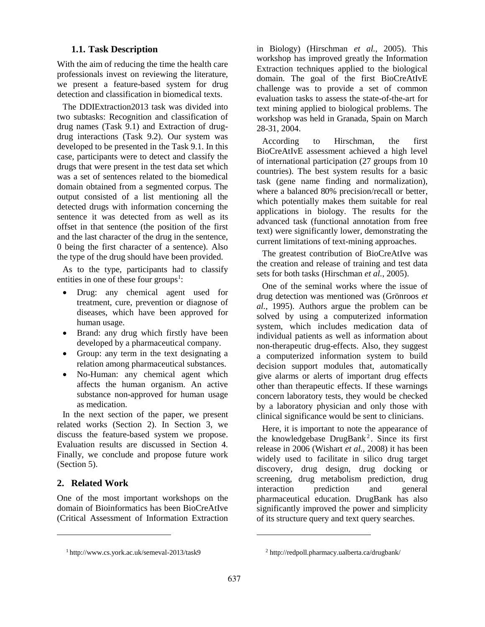#### **1.1. Task Description**

With the aim of reducing the time the health care professionals invest on reviewing the literature, we present a feature-based system for drug detection and classification in biomedical texts.

The DDIExtraction2013 task was divided into two subtasks: Recognition and classification of drug names (Task 9.1) and Extraction of drugdrug interactions (Task 9.2). Our system was developed to be presented in the Task 9.1. In this case, participants were to detect and classify the drugs that were present in the test data set which was a set of sentences related to the biomedical domain obtained from a segmented corpus. The output consisted of a list mentioning all the detected drugs with information concerning the sentence it was detected from as well as its offset in that sentence (the position of the first and the last character of the drug in the sentence, 0 being the first character of a sentence). Also the type of the drug should have been provided.

As to the type, participants had to classify entities in one of these four groups<sup>1</sup>:

- Drug: any chemical agent used for treatment, cure, prevention or diagnose of diseases, which have been approved for human usage.
- Brand: any drug which firstly have been developed by a pharmaceutical company.
- Group: any term in the text designating a relation among pharmaceutical substances.
- No-Human: any chemical agent which affects the human organism. An active substance non-approved for human usage as medication.

In the next section of the paper, we present related works (Section 2). In Section 3, we discuss the feature-based system we propose. Evaluation results are discussed in Section 4. Finally, we conclude and propose future work (Section 5).

## **2. Related Work**

 $\overline{a}$ 

One of the most important workshops on the domain of Bioinformatics has been BioCreAtIve (Critical Assessment of Information Extraction in Biology) (Hirschman *et al.*, 2005). This workshop has improved greatly the Information Extraction techniques applied to the biological domain. The goal of the first BioCreAtIvE challenge was to provide a set of common evaluation tasks to assess the state-of-the-art for text mining applied to biological problems. The workshop was held in Granada, Spain on March 28-31, 2004.

According to Hirschman, the first BioCreAtIvE assessment achieved a high level of international participation (27 groups from 10 countries). The best system results for a basic task (gene name finding and normalization), where a balanced 80% precision/recall or better, which potentially makes them suitable for real applications in biology. The results for the advanced task (functional annotation from free text) were significantly lower, demonstrating the current limitations of text-mining approaches.

The greatest contribution of BioCreAtIve was the creation and release of training and test data sets for both tasks (Hirschman *et al.*, 2005).

One of the seminal works where the issue of drug detection was mentioned was (Grönroos *et al.*, 1995). Authors argue the problem can be solved by using a computerized information system, which includes medication data of individual patients as well as information about non-therapeutic drug-effects. Also, they suggest a computerized information system to build decision support modules that, automatically give alarms or alerts of important drug effects other than therapeutic effects. If these warnings concern laboratory tests, they would be checked by a laboratory physician and only those with clinical significance would be sent to clinicians.

Here, it is important to note the appearance of the knowledgebase  $DrugBank<sup>2</sup>$ . Since its first release in 2006 (Wishart *et al.*, 2008) it has been widely used to facilitate in silico drug target discovery, drug design, drug docking or screening, drug metabolism prediction, drug interaction prediction and general pharmaceutical education. DrugBank has also significantly improved the power and simplicity of its structure query and text query searches.

 $\overline{a}$ 

<sup>1</sup> http://www.cs.york.ac.uk/semeval-2013/task9

<sup>2</sup> http://redpoll.pharmacy.ualberta.ca/drugbank/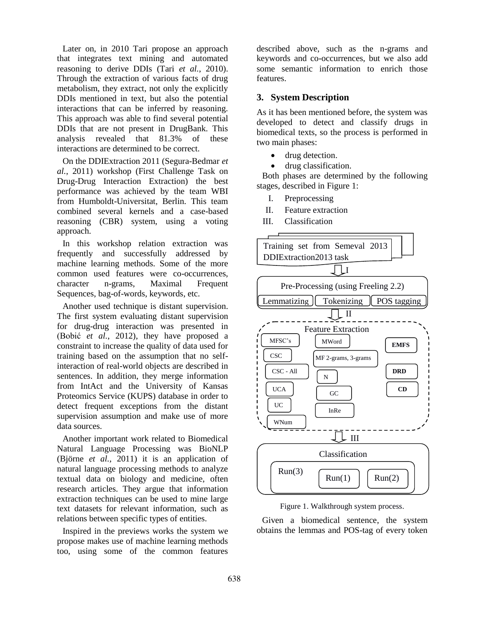Later on, in 2010 Tari propose an approach that integrates text mining and automated reasoning to derive DDIs (Tari *et al.*, 2010). Through the extraction of various facts of drug metabolism, they extract, not only the explicitly DDIs mentioned in text, but also the potential interactions that can be inferred by reasoning. This approach was able to find several potential DDIs that are not present in DrugBank. This analysis revealed that 81.3% of these interactions are determined to be correct.

On the DDIExtraction 2011 (Segura-Bedmar *et al.*, 2011) workshop (First Challenge Task on Drug-Drug Interaction Extraction) the best performance was achieved by the team WBI from Humboldt-Universitat, Berlin. This team combined several kernels and a case-based reasoning (CBR) system, using a voting approach.

In this workshop relation extraction was frequently and successfully addressed by machine learning methods. Some of the more common used features were co-occurrences, character n-grams, Maximal Frequent Sequences, bag-of-words, keywords, etc.

Another used technique is distant supervision. The first system evaluating distant supervision for drug-drug interaction was presented in (Bobić *et al.*, 2012), they have proposed a constraint to increase the quality of data used for training based on the assumption that no selfinteraction of real-world objects are described in sentences. In addition, they merge information from IntAct and the University of Kansas Proteomics Service (KUPS) database in order to detect frequent exceptions from the distant supervision assumption and make use of more data sources.

Another important work related to Biomedical Natural Language Processing was BioNLP (Björne *et al.*, 2011) it is an application of natural language processing methods to analyze textual data on biology and medicine, often research articles. They argue that information extraction techniques can be used to mine large text datasets for relevant information, such as relations between specific types of entities.

Inspired in the previews works the system we propose makes use of machine learning methods too, using some of the common features

described above, such as the n-grams and keywords and co-occurrences, but we also add some semantic information to enrich those features.

## **3. System Description**

As it has been mentioned before, the system was developed to detect and classify drugs in biomedical texts, so the process is performed in two main phases:

- drug detection.
- drug classification.

Both phases are determined by the following stages, described in Figure 1:

- I. Preprocessing
- II. Feature extraction
- III. Classification





Given a biomedical sentence, the system obtains the lemmas and POS-tag of every token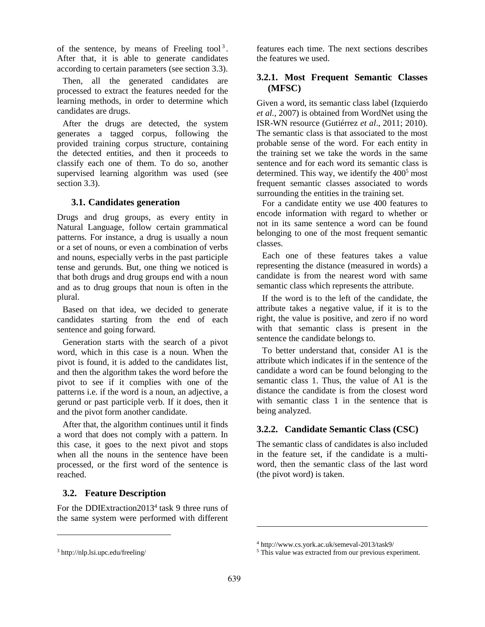of the sentence, by means of Freeling tool<sup>3</sup>. After that, it is able to generate candidates according to certain parameters (see section 3.3).

Then, all the generated candidates are processed to extract the features needed for the learning methods, in order to determine which candidates are drugs.

After the drugs are detected, the system generates a tagged corpus, following the provided training corpus structure, containing the detected entities, and then it proceeds to classify each one of them. To do so, another supervised learning algorithm was used (see section 3.3).

## **3.1. Candidates generation**

Drugs and drug groups, as every entity in Natural Language, follow certain grammatical patterns. For instance, a drug is usually a noun or a set of nouns, or even a combination of verbs and nouns, especially verbs in the past participle tense and gerunds. But, one thing we noticed is that both drugs and drug groups end with a noun and as to drug groups that noun is often in the plural.

Based on that idea, we decided to generate candidates starting from the end of each sentence and going forward.

Generation starts with the search of a pivot word, which in this case is a noun. When the pivot is found, it is added to the candidates list, and then the algorithm takes the word before the pivot to see if it complies with one of the patterns i.e. if the word is a noun, an adjective, a gerund or past participle verb. If it does, then it and the pivot form another candidate.

After that, the algorithm continues until it finds a word that does not comply with a pattern. In this case, it goes to the next pivot and stops when all the nouns in the sentence have been processed, or the first word of the sentence is reached.

## **3.2. Feature Description**

For the DDIExtraction2013<sup>4</sup> task 9 three runs of the same system were performed with different

 $\overline{a}$ 

features each time. The next sections describes the features we used.

## **3.2.1. Most Frequent Semantic Classes (MFSC)**

Given a word, its semantic class label (Izquierdo *et al.*, 2007) is obtained from WordNet using the ISR-WN resource (Gutiérrez *et al*., 2011; 2010). The semantic class is that associated to the most probable sense of the word. For each entity in the training set we take the words in the same sentence and for each word its semantic class is determined. This way, we identify the  $400<sup>5</sup>$  most frequent semantic classes associated to words surrounding the entities in the training set.

For a candidate entity we use 400 features to encode information with regard to whether or not in its same sentence a word can be found belonging to one of the most frequent semantic classes.

Each one of these features takes a value representing the distance (measured in words) a candidate is from the nearest word with same semantic class which represents the attribute.

If the word is to the left of the candidate, the attribute takes a negative value, if it is to the right, the value is positive, and zero if no word with that semantic class is present in the sentence the candidate belongs to.

To better understand that, consider A1 is the attribute which indicates if in the sentence of the candidate a word can be found belonging to the semantic class 1. Thus, the value of A1 is the distance the candidate is from the closest word with semantic class 1 in the sentence that is being analyzed.

## **3.2.2. Candidate Semantic Class (CSC)**

The semantic class of candidates is also included in the feature set, if the candidate is a multiword, then the semantic class of the last word (the pivot word) is taken.

 $\overline{a}$ 

<sup>3</sup> http://nlp.lsi.upc.edu/freeling/

<sup>4</sup> http://www.cs.york.ac.uk/semeval-2013/task9/

<sup>&</sup>lt;sup>5</sup> This value was extracted from our previous experiment.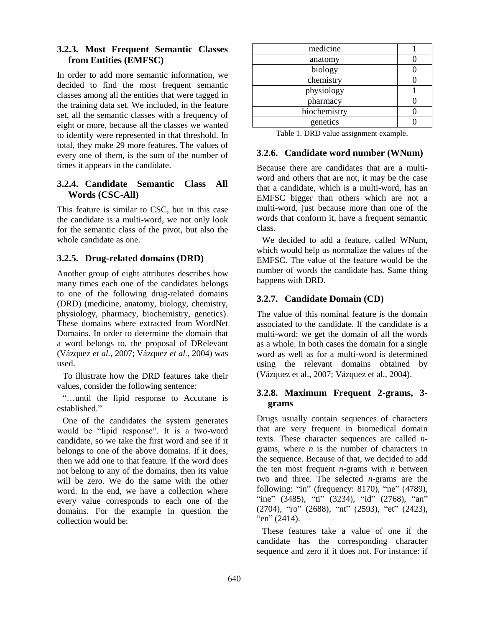## **3.2.3. Most Frequent Semantic Classes from Entities (EMFSC)**

In order to add more semantic information, we decided to find the most frequent semantic classes among all the entities that were tagged in the training data set. We included, in the feature set, all the semantic classes with a frequency of eight or more, because all the classes we wanted to identify were represented in that threshold. In total, they make 29 more features. The values of every one of them, is the sum of the number of times it appears in the candidate.

## **3.2.4. Candidate Semantic Class All Words (CSC-All)**

This feature is similar to CSC, but in this case the candidate is a multi-word, we not only look for the semantic class of the pivot, but also the whole candidate as one.

## **3.2.5. Drug-related domains (DRD)**

Another group of eight attributes describes how many times each one of the candidates belongs to one of the following drug-related domains (DRD) (medicine, anatomy, biology, chemistry, physiology, pharmacy, biochemistry, genetics). These domains where extracted from WordNet Domains. In order to determine the domain that a word belongs to, the proposal of DRelevant (Vázquez *et al.*, 2007; Vázquez *et al.*, 2004) was used.

To illustrate how the DRD features take their values, consider the following sentence:

"…until the lipid response to Accutane is established."

One of the candidates the system generates would be "lipid response". It is a two-word candidate, so we take the first word and see if it belongs to one of the above domains. If it does, then we add one to that feature. If the word does not belong to any of the domains, then its value will be zero. We do the same with the other word. In the end, we have a collection where every value corresponds to each one of the domains. For the example in question the collection would be:

| medicine     |  |
|--------------|--|
| anatomy      |  |
| biology      |  |
| chemistry    |  |
| physiology   |  |
| pharmacy     |  |
| biochemistry |  |
| genetics     |  |

Table 1. DRD value assignment example.

## **3.2.6. Candidate word number (WNum)**

Because there are candidates that are a multiword and others that are not, it may be the case that a candidate, which is a multi-word, has an EMFSC bigger than others which are not a multi-word, just because more than one of the words that conform it, have a frequent semantic class.

We decided to add a feature, called WNum, which would help us normalize the values of the EMFSC. The value of the feature would be the number of words the candidate has. Same thing happens with DRD.

# **3.2.7. Candidate Domain (CD)**

The value of this nominal feature is the domain associated to the candidate. If the candidate is a multi-word; we get the domain of all the words as a whole. In both cases the domain for a single word as well as for a multi-word is determined using the relevant domains obtained by (Vázquez et al., 2007; Vázquez et al., 2004).

# **3.2.8. Maximum Frequent 2-grams, 3 grams**

Drugs usually contain sequences of characters that are very frequent in biomedical domain texts. These character sequences are called *n*grams, where *n* is the number of characters in the sequence. Because of that, we decided to add the ten most frequent *n*-grams with *n* between two and three. The selected *n*-grams are the following: "in" (frequency: 8170), "ne" (4789), "ine" (3485), "ti" (3234), "id" (2768), "an" (2704), "ro" (2688), "nt" (2593), "et" (2423), "en"  $(2414)$ .

These features take a value of one if the candidate has the corresponding character sequence and zero if it does not. For instance: if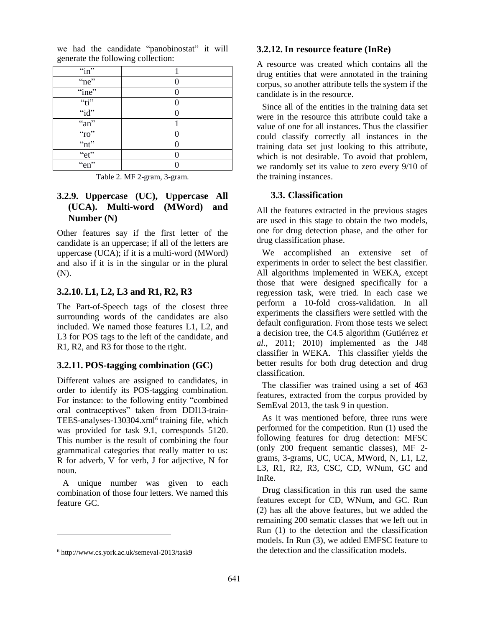| $\lq$ in"              |  |
|------------------------|--|
| "ne"                   |  |
| "ine"                  |  |
| $\alpha_{\text{t}}$    |  |
| " $id$ "               |  |
| ``an"                  |  |
| ``ro"                  |  |
| $\lq$ <sup>"</sup> nt" |  |
| "et"                   |  |
| "en"                   |  |

we had the candidate "panobinostat" it will generate the following collection:

Table 2. MF 2-gram, 3-gram.

# **3.2.9. Uppercase (UC), Uppercase All (UCA). Multi-word (MWord) and Number (N)**

Other features say if the first letter of the candidate is an uppercase; if all of the letters are uppercase (UCA); if it is a multi-word (MWord) and also if it is in the singular or in the plural (N).

## **3.2.10. L1, L2, L3 and R1, R2, R3**

The Part-of-Speech tags of the closest three surrounding words of the candidates are also included. We named those features L1, L2, and L3 for POS tags to the left of the candidate, and R1, R2, and R3 for those to the right.

# **3.2.11. POS-tagging combination (GC)**

Different values are assigned to candidates, in order to identify its POS-tagging combination. For instance: to the following entity "combined oral contraceptives" taken from DDI13-train-TEES-analyses-130304.xml<sup>6</sup> training file, which was provided for task 9.1, corresponds 5120. This number is the result of combining the four grammatical categories that really matter to us: R for adverb, V for verb, J for adjective, N for noun.

A unique number was given to each combination of those four letters. We named this feature GC.

 $\overline{a}$ 

#### **3.2.12. In resource feature (InRe)**

A resource was created which contains all the drug entities that were annotated in the training corpus, so another attribute tells the system if the candidate is in the resource.

Since all of the entities in the training data set were in the resource this attribute could take a value of one for all instances. Thus the classifier could classify correctly all instances in the training data set just looking to this attribute, which is not desirable. To avoid that problem, we randomly set its value to zero every 9/10 of the training instances.

#### **3.3. Classification**

All the features extracted in the previous stages are used in this stage to obtain the two models, one for drug detection phase, and the other for drug classification phase.

We accomplished an extensive set of experiments in order to select the best classifier. All algorithms implemented in WEKA, except those that were designed specifically for a regression task, were tried. In each case we perform a 10-fold cross-validation. In all experiments the classifiers were settled with the default configuration. From those tests we select a decision tree, the C4.5 algorithm (Gutiérrez *et al.*, 2011; 2010) implemented as the J48 classifier in WEKA. This classifier yields the better results for both drug detection and drug classification.

The classifier was trained using a set of 463 features, extracted from the corpus provided by SemEval 2013, the task 9 in question.

As it was mentioned before, three runs were performed for the competition. Run (1) used the following features for drug detection: MFSC (only 200 frequent semantic classes), MF 2 grams, 3-grams, UC, UCA, MWord, N, L1, L2, L3, R1, R2, R3, CSC, CD, WNum, GC and InRe.

Drug classification in this run used the same features except for CD, WNum, and GC. Run (2) has all the above features, but we added the remaining 200 sematic classes that we left out in Run (1) to the detection and the classification models. In Run (3), we added EMFSC feature to the detection and the classification models.

<sup>6</sup> http://www.cs.york.ac.uk/semeval-2013/task9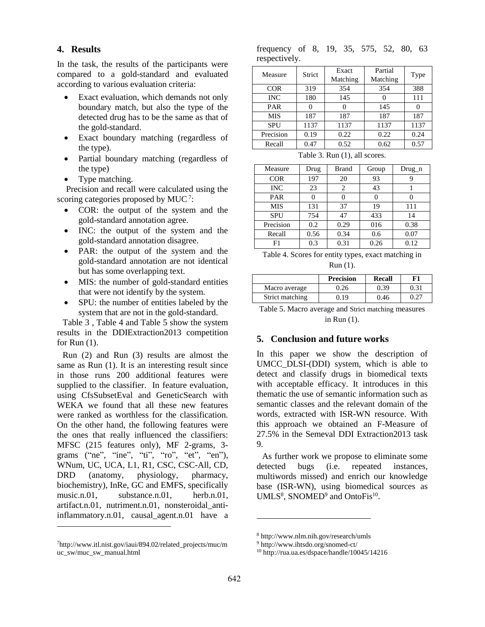**4. Results**

In the task, the results of the participants were compared to a gold-standard and evaluated according to various evaluation criteria:

- Exact evaluation, which demands not only boundary match, but also the type of the detected drug has to be the same as that of the gold-standard.
- Exact boundary matching (regardless of the type).
- Partial boundary matching (regardless of the type)
- Type matching.

Precision and recall were calculated using the scoring categories proposed by MUC<sup>7</sup>:

- COR: the output of the system and the gold-standard annotation agree.
- INC: the output of the system and the gold-standard annotation disagree.
- PAR: the output of the system and the gold-standard annotation are not identical but has some overlapping text.
- MIS: the number of gold-standard entities that were not identify by the system.
- SPU: the number of entities labeled by the system that are not in the gold-standard.

Table 3 , Table 4 and Table 5 show the system results in the DDIExtraction2013 competition for Run (1).

Run (2) and Run (3) results are almost the same as Run (1). It is an interesting result since in those runs 200 additional features were supplied to the classifier. In feature evaluation, using CfsSubsetEval and GeneticSearch with WEKA we found that all these new features were ranked as worthless for the classification. On the other hand, the following features were the ones that really influenced the classifiers: MFSC (215 features only), MF 2-grams, 3 grams ("ne", "ine", "ti", "ro", "et", "en"), WNum, UC, UCA, L1, R1, CSC, CSC-All, CD, DRD (anatomy, physiology, pharmacy, biochemistry), InRe, GC and EMFS, specifically music.n.01, substance.n.01, herb.n.01, artifact.n.01, nutriment.n.01, nonsteroidal\_antiinflammatory.n.01, causal\_agent.n.01 have a

 $\overline{a}$ 

#### frequency of 8, 19, 35, 575, 52, 80, 63 respectively.

| Measure    | Strict | Exact    | Partial  | Type |  |
|------------|--------|----------|----------|------|--|
|            |        | Matching | Matching |      |  |
| <b>COR</b> | 319    | 354      | 354      | 388  |  |
| <b>INC</b> | 180    | 145      |          | 111  |  |
| <b>PAR</b> | 0      |          | 145      |      |  |
| <b>MIS</b> | 187    | 187      | 187      | 187  |  |
| <b>SPU</b> | 1137   | 1137     | 1137     | 1137 |  |
| Precision  | 0.19   | 0.22     | 0.22     | 0.24 |  |
| Recall     | 0.47   | 0.52     | 0.62     | 0.57 |  |

Table 3. Run (1), all scores.

| Measure    | Drug | Brand | Group | $Drug_n$ |
|------------|------|-------|-------|----------|
| <b>COR</b> | 197  | 20    | 93    |          |
| <b>INC</b> | 23   | 2     | 43    |          |
| <b>PAR</b> |      |       |       |          |
| <b>MIS</b> | 131  | 37    | 19    | 111      |
| <b>SPU</b> | 754  | 47    | 433   | 14       |
| Precision  | 0.2  | 0.29  | 016   | 0.38     |
| Recall     | 0.56 | 0.34  | 0.6   | 0.07     |
| F1         | 0.3  | 0.31  | 0.26  | 0.12     |

| Table 4. Scores for entity types, exact matching in |
|-----------------------------------------------------|
| Run (1).                                            |

|                 | <b>Precision</b> | <b>Recall</b> | F1   |
|-----------------|------------------|---------------|------|
| Macro average   | 0.26             | 0.39          | 0.31 |
| Strict matching | ገ 19             | 0.46          |      |

Table 5. Macro average and Strict matching measures in Run (1).

#### **5. Conclusion and future works**

In this paper we show the description of UMCC\_DLSI-(DDI) system, which is able to detect and classify drugs in biomedical texts with acceptable efficacy. It introduces in this thematic the use of semantic information such as semantic classes and the relevant domain of the words, extracted with ISR-WN resource. With this approach we obtained an F-Measure of 27.5% in the Semeval DDI Extraction2013 task 9.

As further work we propose to eliminate some detected bugs (i.e. repeated instances, multiwords missed) and enrich our knowledge base (ISR-WN), using biomedical sources as UMLS<sup>8</sup>, SNOMED<sup>9</sup> and OntoFis<sup>10</sup>.

 $\overline{a}$ 

<sup>7</sup>http://www.itl.nist.gov/iaui/894.02/related\_projects/muc/m uc\_sw/muc\_sw\_manual.html

<sup>8</sup> http://www.nlm.nih.gov/research/umls

<sup>9</sup> http://www.ihtsdo.org/snomed-ct/

<sup>10</sup> http://rua.ua.es/dspace/handle/10045/14216